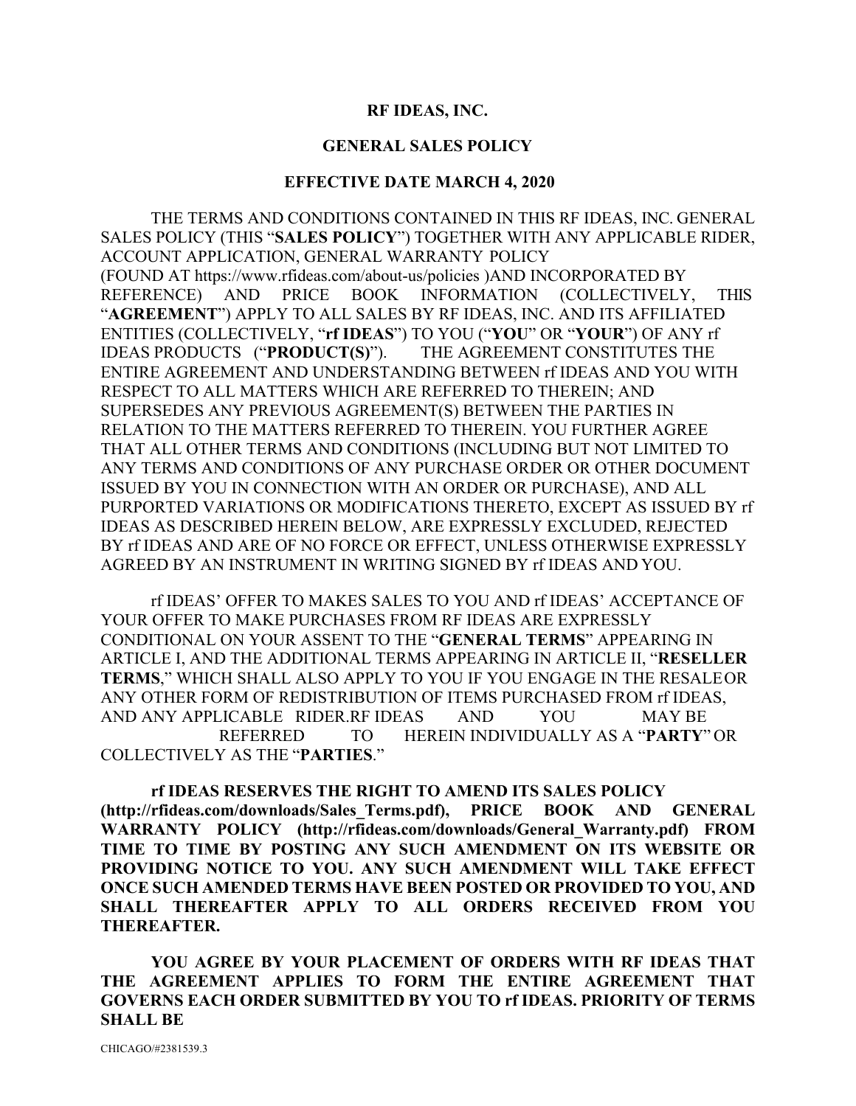#### **RF IDEAS, INC.**

#### **GENERAL SALES POLICY**

#### **EFFECTIVE DATE MARCH 4, 2020**

THE TERMS AND CONDITIONS CONTAINED IN THIS RF IDEAS, INC. GENERAL SALES POLICY (THIS "**SALES POLICY**") TOGETHER WITH ANY APPLICABLE RIDER, ACCOUNT APPLICATION, GENERAL WARRANTY POLICY (FOUND AT https://www.rfideas.com/about-us/policies )AND INCORPORATED BY REFERENCE) AND PRICE BOOK INFORMATION (COLLECTIVELY, THIS "**AGREEMENT**") APPLY TO ALL SALES BY RF IDEAS, INC. AND ITS AFFILIATED ENTITIES (COLLECTIVELY, "**rf IDEAS**") TO YOU ("**YOU**" OR "**YOUR**") OF ANY rf IDEAS PRODUCTS ("**PRODUCT(S)**"). THE AGREEMENT CONSTITUTES THE ENTIRE AGREEMENT AND UNDERSTANDING BETWEEN rf IDEAS AND YOU WITH RESPECT TO ALL MATTERS WHICH ARE REFERRED TO THEREIN; AND SUPERSEDES ANY PREVIOUS AGREEMENT(S) BETWEEN THE PARTIES IN RELATION TO THE MATTERS REFERRED TO THEREIN. YOU FURTHER AGREE THAT ALL OTHER TERMS AND CONDITIONS (INCLUDING BUT NOT LIMITED TO ANY TERMS AND CONDITIONS OF ANY PURCHASE ORDER OR OTHER DOCUMENT ISSUED BY YOU IN CONNECTION WITH AN ORDER OR PURCHASE), AND ALL PURPORTED VARIATIONS OR MODIFICATIONS THERETO, EXCEPT AS ISSUED BY rf IDEAS AS DESCRIBED HEREIN BELOW, ARE EXPRESSLY EXCLUDED, REJECTED BY rf IDEAS AND ARE OF NO FORCE OR EFFECT, UNLESS OTHERWISE EXPRESSLY AGREED BY AN INSTRUMENT IN WRITING SIGNED BY rf IDEAS AND YOU.

rf IDEAS' OFFER TO MAKES SALES TO YOU AND rf IDEAS' ACCEPTANCE OF YOUR OFFER TO MAKE PURCHASES FROM RF IDEAS ARE EXPRESSLY CONDITIONAL ON YOUR ASSENT TO THE "**GENERAL TERMS**" APPEARING IN ARTICLE I, AND THE ADDITIONAL TERMS APPEARING IN ARTICLE II, "**RESELLER TERMS**," WHICH SHALL ALSO APPLY TO YOU IF YOU ENGAGE IN THE RESALEOR ANY OTHER FORM OF REDISTRIBUTION OF ITEMS PURCHASED FROM rf IDEAS, AND ANY APPLICABLE RIDER.RF IDEAS AND YOU MAY BE REFERRED TO HEREIN INDIVIDUALLY AS A "**PARTY**" OR COLLECTIVELY AS THE "**PARTIES**."

**rf IDEAS RESERVES THE RIGHT TO AMEND ITS SALES POLICY (http://rfideas.com/downloads/Sales\_Terms.pdf), PRICE BOOK AND GENERAL WARRANTY POLICY (http://rfideas.com/downloads/General\_Warranty.pdf) FROM TIME TO TIME BY POSTING ANY SUCH AMENDMENT ON ITS WEBSITE OR PROVIDING NOTICE TO YOU. ANY SUCH AMENDMENT WILL TAKE EFFECT ONCE SUCH AMENDED TERMS HAVE BEEN POSTED OR PROVIDED TO YOU, AND SHALL THEREAFTER APPLY TO ALL ORDERS RECEIVED FROM YOU THEREAFTER.**

**YOU AGREE BY YOUR PLACEMENT OF ORDERS WITH RF IDEAS THAT THE AGREEMENT APPLIES TO FORM THE ENTIRE AGREEMENT THAT GOVERNS EACH ORDER SUBMITTED BY YOU TO rf IDEAS. PRIORITY OF TERMS SHALL BE**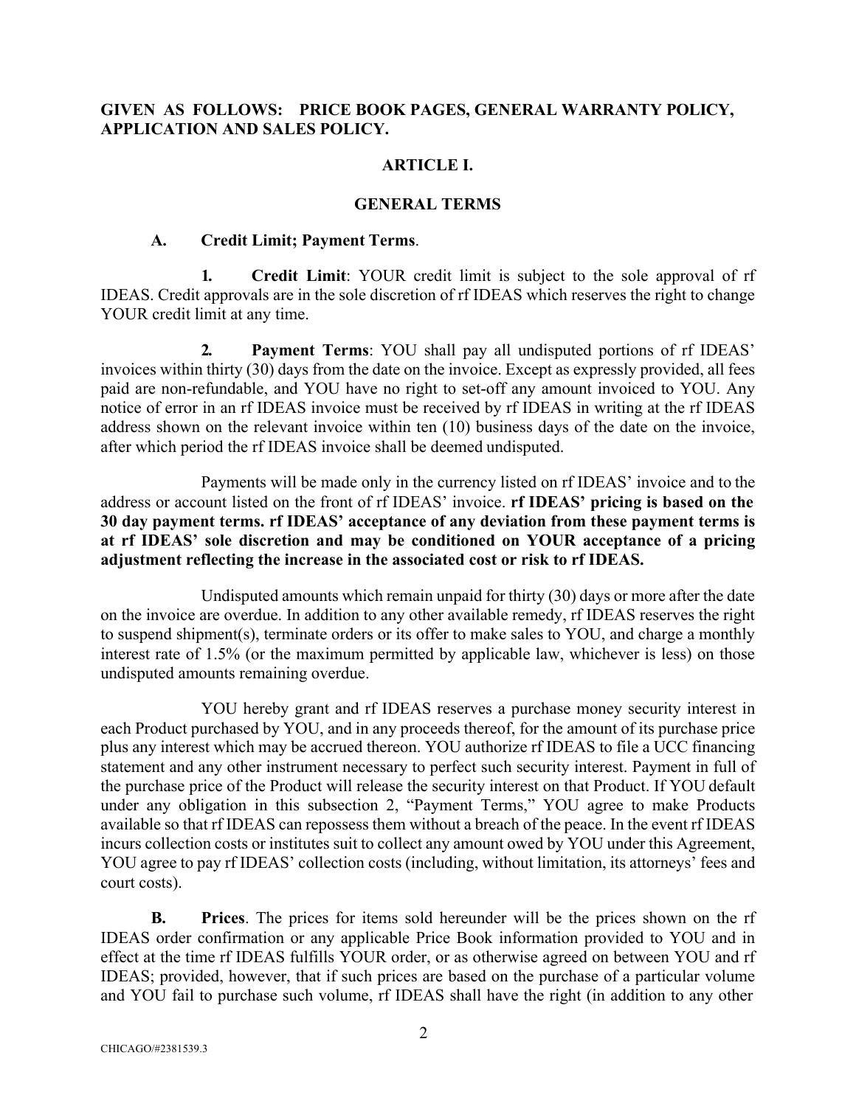## **GIVEN AS FOLLOWS: PRICE BOOK PAGES, GENERAL WARRANTY POLICY, APPLICATION AND SALES POLICY.**

### **ARTICLE I.**

#### **GENERAL TERMS**

#### **A. Credit Limit; Payment Terms**.

**1. Credit Limit**: YOUR credit limit is subject to the sole approval of rf IDEAS. Credit approvals are in the sole discretion of rf IDEAS which reserves the right to change YOUR credit limit at any time.

**2. Payment Terms**: YOU shall pay all undisputed portions of rf IDEAS' invoices within thirty (30) days from the date on the invoice. Except as expressly provided, all fees paid are non-refundable, and YOU have no right to set-off any amount invoiced to YOU. Any notice of error in an rf IDEAS invoice must be received by rf IDEAS in writing at the rf IDEAS address shown on the relevant invoice within ten (10) business days of the date on the invoice, after which period the rf IDEAS invoice shall be deemed undisputed.

Payments will be made only in the currency listed on rf IDEAS' invoice and to the address or account listed on the front of rf IDEAS' invoice. **rf IDEAS' pricing is based on the 30 day payment terms. rf IDEAS' acceptance of any deviation from these payment terms is at rf IDEAS' sole discretion and may be conditioned on YOUR acceptance of a pricing adjustment reflecting the increase in the associated cost or risk to rf IDEAS.**

Undisputed amounts which remain unpaid for thirty (30) days or more after the date on the invoice are overdue. In addition to any other available remedy, rf IDEAS reserves the right to suspend shipment(s), terminate orders or its offer to make sales to YOU, and charge a monthly interest rate of 1.5% (or the maximum permitted by applicable law, whichever is less) on those undisputed amounts remaining overdue.

YOU hereby grant and rf IDEAS reserves a purchase money security interest in each Product purchased by YOU, and in any proceeds thereof, for the amount of its purchase price plus any interest which may be accrued thereon. YOU authorize rf IDEAS to file a UCC financing statement and any other instrument necessary to perfect such security interest. Payment in full of the purchase price of the Product will release the security interest on that Product. If YOU default under any obligation in this subsection 2, "Payment Terms," YOU agree to make Products available so that rf IDEAS can repossess them without a breach of the peace. In the event rf IDEAS incurs collection costs or institutes suit to collect any amount owed by YOU under this Agreement, YOU agree to pay rf IDEAS' collection costs (including, without limitation, its attorneys' fees and court costs).

**B. Prices**. The prices for items sold hereunder will be the prices shown on the rf IDEAS order confirmation or any applicable Price Book information provided to YOU and in effect at the time rf IDEAS fulfills YOUR order, or as otherwise agreed on between YOU and rf IDEAS; provided, however, that if such prices are based on the purchase of a particular volume and YOU fail to purchase such volume, rf IDEAS shall have the right (in addition to any other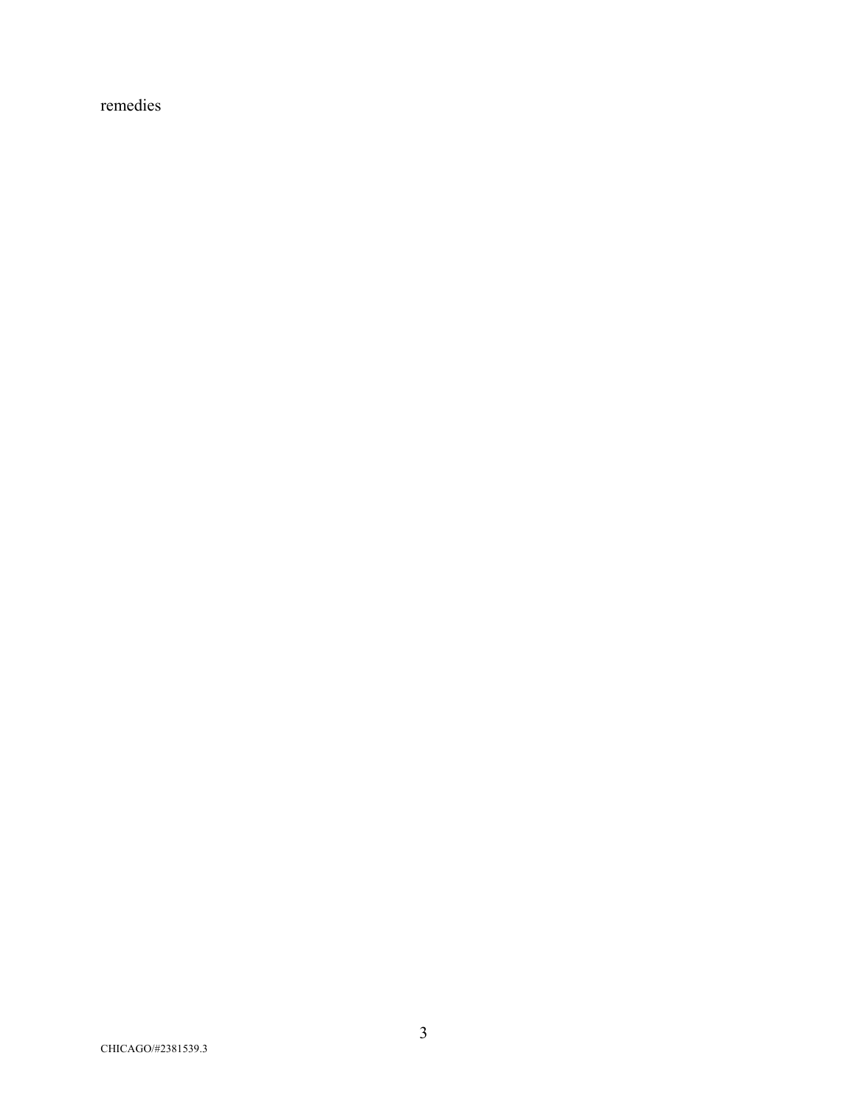remedies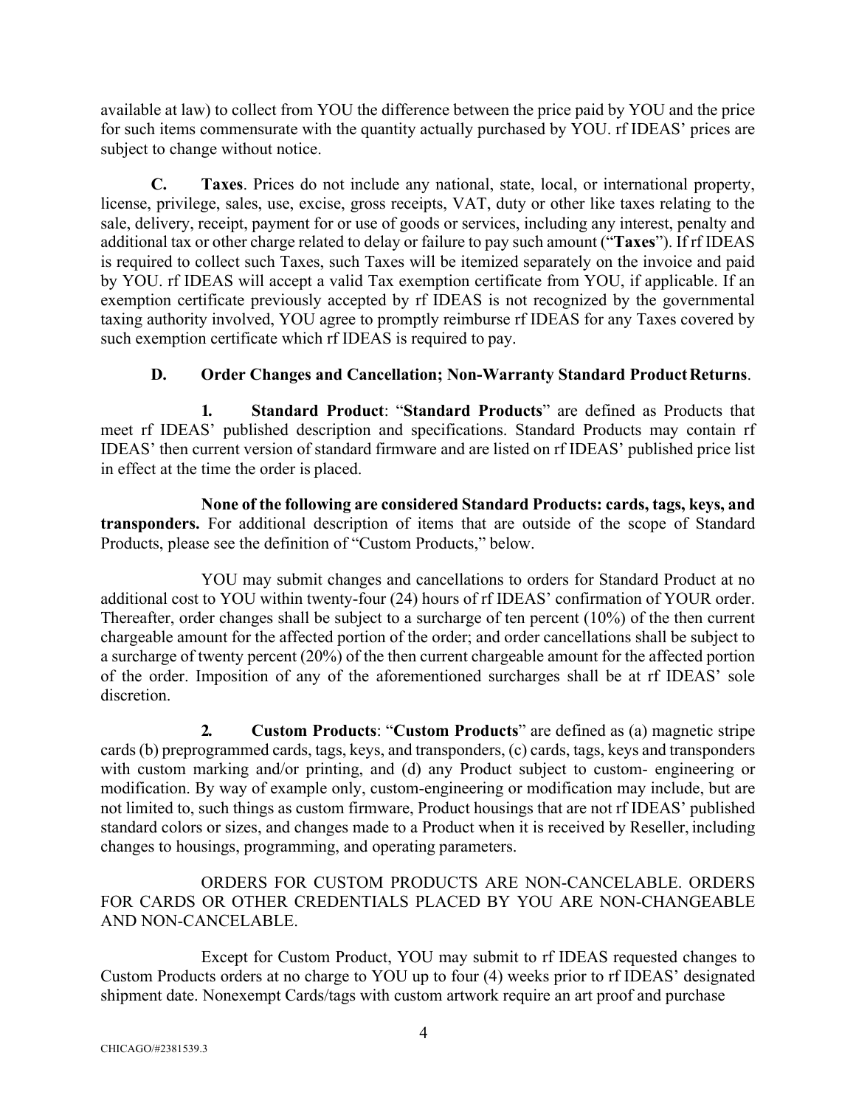available at law) to collect from YOU the difference between the price paid by YOU and the price for such items commensurate with the quantity actually purchased by YOU. rf IDEAS' prices are subject to change without notice.

**C. Taxes**. Prices do not include any national, state, local, or international property, license, privilege, sales, use, excise, gross receipts, VAT, duty or other like taxes relating to the sale, delivery, receipt, payment for or use of goods or services, including any interest, penalty and additional tax or other charge related to delay or failure to pay such amount ("**Taxes**"). If rf IDEAS is required to collect such Taxes, such Taxes will be itemized separately on the invoice and paid by YOU. rf IDEAS will accept a valid Tax exemption certificate from YOU, if applicable. If an exemption certificate previously accepted by rf IDEAS is not recognized by the governmental taxing authority involved, YOU agree to promptly reimburse rf IDEAS for any Taxes covered by such exemption certificate which rf IDEAS is required to pay.

# **D.** Order Changes and Cancellation; Non-Warranty Standard Product Returns.

**1. Standard Product**: "**Standard Products**" are defined as Products that meet rf IDEAS' published description and specifications. Standard Products may contain rf IDEAS' then current version of standard firmware and are listed on rf IDEAS' published price list in effect at the time the order is placed.

**None of the following are considered Standard Products: cards, tags, keys, and transponders.** For additional description of items that are outside of the scope of Standard Products, please see the definition of "Custom Products," below.

YOU may submit changes and cancellations to orders for Standard Product at no additional cost to YOU within twenty-four (24) hours of rf IDEAS' confirmation of YOUR order. Thereafter, order changes shall be subject to a surcharge of ten percent (10%) of the then current chargeable amount for the affected portion of the order; and order cancellations shall be subject to a surcharge of twenty percent (20%) of the then current chargeable amount for the affected portion of the order. Imposition of any of the aforementioned surcharges shall be at rf IDEAS' sole discretion.

**2. Custom Products**: "**Custom Products**" are defined as (a) magnetic stripe cards (b) preprogrammed cards, tags, keys, and transponders, (c) cards, tags, keys and transponders with custom marking and/or printing, and (d) any Product subject to custom- engineering or modification. By way of example only, custom-engineering or modification may include, but are not limited to, such things as custom firmware, Product housings that are not rf IDEAS' published standard colors or sizes, and changes made to a Product when it is received by Reseller, including changes to housings, programming, and operating parameters.

ORDERS FOR CUSTOM PRODUCTS ARE NON-CANCELABLE. ORDERS FOR CARDS OR OTHER CREDENTIALS PLACED BY YOU ARE NON-CHANGEABLE AND NON-CANCELABLE.

Except for Custom Product, YOU may submit to rf IDEAS requested changes to Custom Products orders at no charge to YOU up to four (4) weeks prior to rf IDEAS' designated shipment date. Nonexempt Cards/tags with custom artwork require an art proof and purchase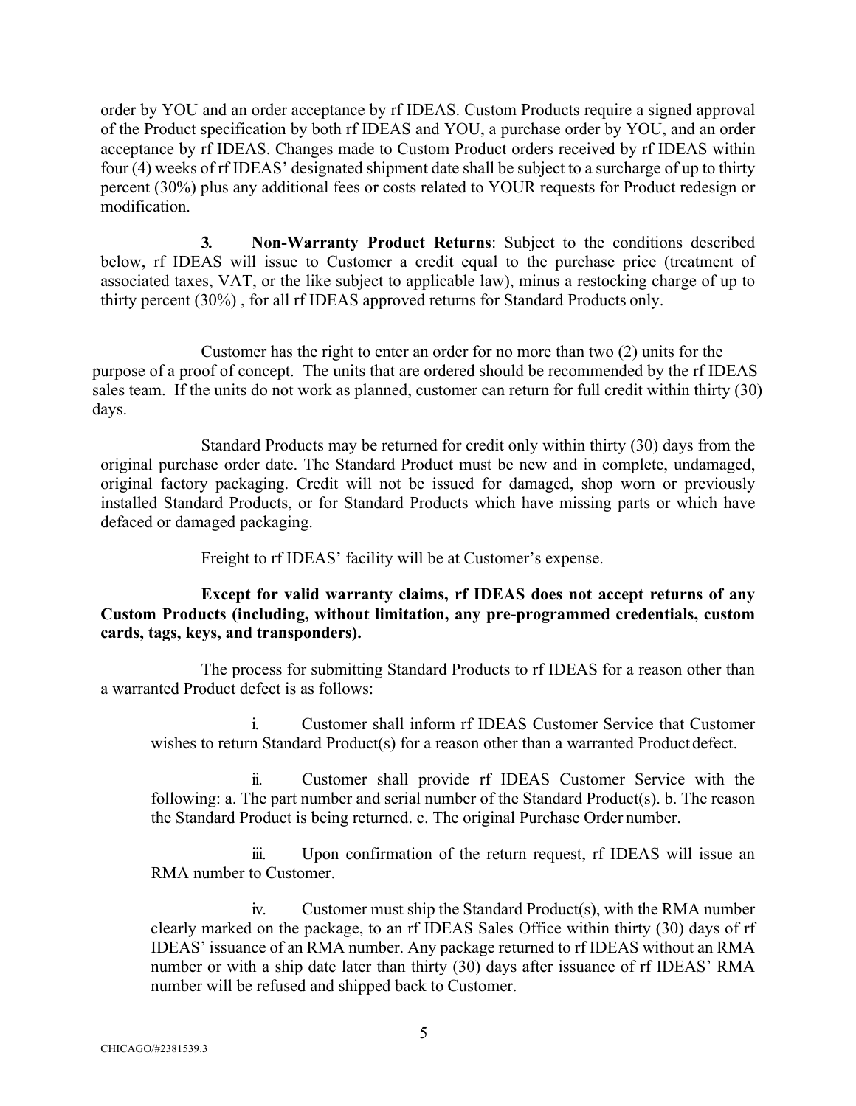order by YOU and an order acceptance by rf IDEAS. Custom Products require a signed approval of the Product specification by both rf IDEAS and YOU, a purchase order by YOU, and an order acceptance by rf IDEAS. Changes made to Custom Product orders received by rf IDEAS within four (4) weeks of rf IDEAS' designated shipment date shall be subject to a surcharge of up to thirty percent (30%) plus any additional fees or costs related to YOUR requests for Product redesign or modification.

**3. Non-Warranty Product Returns**: Subject to the conditions described below, rf IDEAS will issue to Customer a credit equal to the purchase price (treatment of associated taxes, VAT, or the like subject to applicable law), minus a restocking charge of up to thirty percent (30%) , for all rf IDEAS approved returns for Standard Products only.

 Customer has the right to enter an order for no more than two (2) units for the purpose of a proof of concept. The units that are ordered should be recommended by the rf IDEAS sales team. If the units do not work as planned, customer can return for full credit within thirty (30) days.

Standard Products may be returned for credit only within thirty (30) days from the original purchase order date. The Standard Product must be new and in complete, undamaged, original factory packaging. Credit will not be issued for damaged, shop worn or previously installed Standard Products, or for Standard Products which have missing parts or which have defaced or damaged packaging.

Freight to rf IDEAS' facility will be at Customer's expense.

### **Except for valid warranty claims, rf IDEAS does not accept returns of any Custom Products (including, without limitation, any pre-programmed credentials, custom cards, tags, keys, and transponders).**

The process for submitting Standard Products to rf IDEAS for a reason other than a warranted Product defect is as follows:

i. Customer shall inform rf IDEAS Customer Service that Customer wishes to return Standard Product(s) for a reason other than a warranted Product defect.

ii. Customer shall provide rf IDEAS Customer Service with the following: a. The part number and serial number of the Standard Product(s). b. The reason the Standard Product is being returned. c. The original Purchase Order number.

iii. Upon confirmation of the return request, rf IDEAS will issue an RMA number to Customer.

iv. Customer must ship the Standard Product(s), with the RMA number clearly marked on the package, to an rf IDEAS Sales Office within thirty (30) days of rf IDEAS' issuance of an RMA number. Any package returned to rf IDEAS without an RMA number or with a ship date later than thirty (30) days after issuance of rf IDEAS' RMA number will be refused and shipped back to Customer.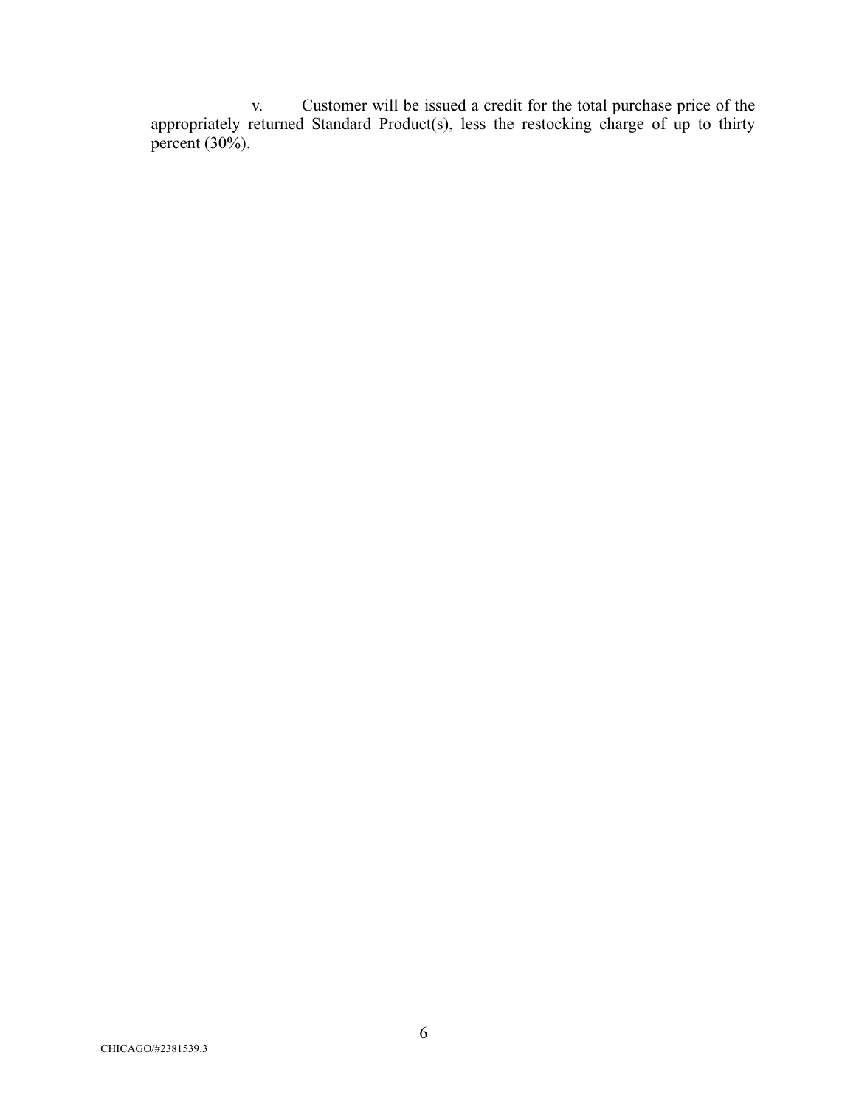v. Customer will be issued a credit for the total purchase price of the appropriately returned Standard Product(s), less the restocking charge of up to thirty percent (30%).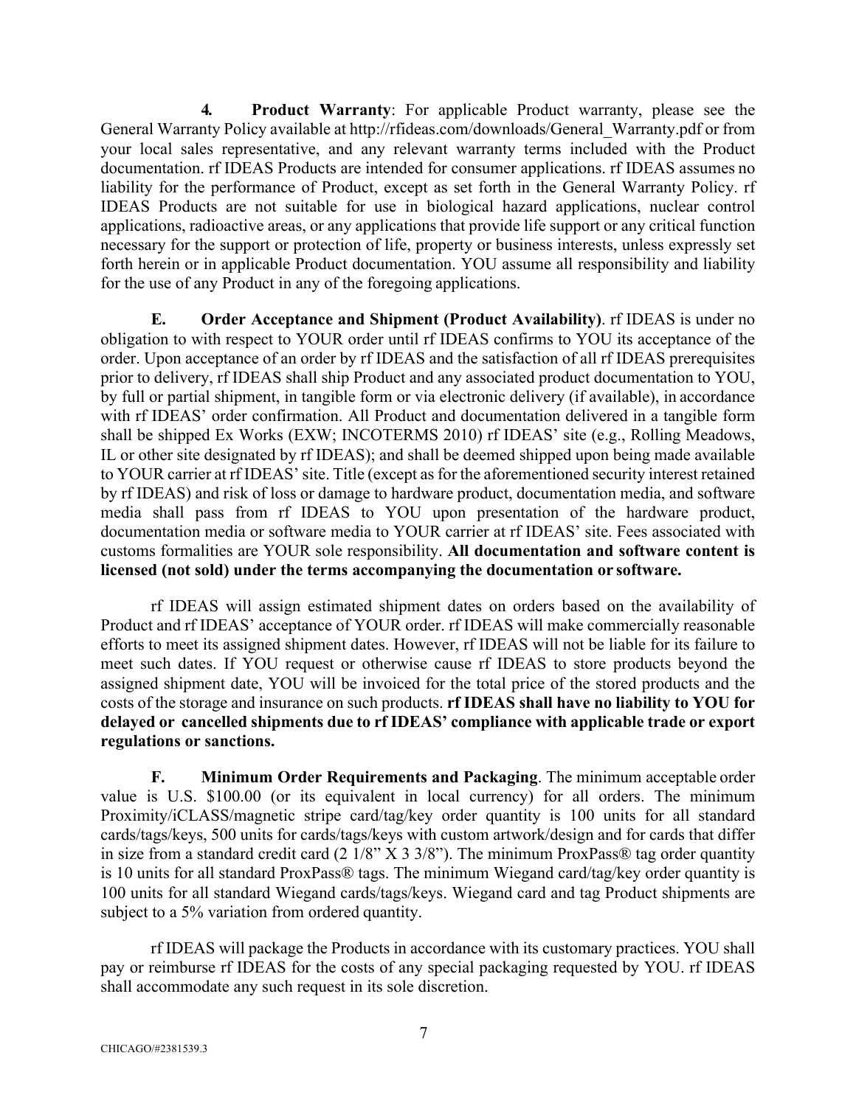**4. Product Warranty**: For applicable Product warranty, please see the General Warranty Policy available at http://rfideas.com/downloads/General\_Warranty.pdf or from your local sales representative, and any relevant warranty terms included with the Product documentation. rf IDEAS Products are intended for consumer applications. rf IDEAS assumes no liability for the performance of Product, except as set forth in the General Warranty Policy. rf IDEAS Products are not suitable for use in biological hazard applications, nuclear control applications, radioactive areas, or any applications that provide life support or any critical function necessary for the support or protection of life, property or business interests, unless expressly set forth herein or in applicable Product documentation. YOU assume all responsibility and liability for the use of any Product in any of the foregoing applications.

**E. Order Acceptance and Shipment (Product Availability)**. rf IDEAS is under no obligation to with respect to YOUR order until rf IDEAS confirms to YOU its acceptance of the order. Upon acceptance of an order by rf IDEAS and the satisfaction of all rf IDEAS prerequisites prior to delivery, rf IDEAS shall ship Product and any associated product documentation to YOU, by full or partial shipment, in tangible form or via electronic delivery (if available), in accordance with rf IDEAS' order confirmation. All Product and documentation delivered in a tangible form shall be shipped Ex Works (EXW; INCOTERMS 2010) rf IDEAS' site (e.g., Rolling Meadows, IL or other site designated by rf IDEAS); and shall be deemed shipped upon being made available to YOUR carrier at rf IDEAS' site. Title (except as for the aforementioned security interest retained by rf IDEAS) and risk of loss or damage to hardware product, documentation media, and software media shall pass from rf IDEAS to YOU upon presentation of the hardware product, documentation media or software media to YOUR carrier at rf IDEAS' site. Fees associated with customs formalities are YOUR sole responsibility. **All documentation and software content is licensed (not sold) under the terms accompanying the documentation or software.**

rf IDEAS will assign estimated shipment dates on orders based on the availability of Product and rf IDEAS' acceptance of YOUR order. rf IDEAS will make commercially reasonable efforts to meet its assigned shipment dates. However, rf IDEAS will not be liable for its failure to meet such dates. If YOU request or otherwise cause rf IDEAS to store products beyond the assigned shipment date, YOU will be invoiced for the total price of the stored products and the costs of the storage and insurance on such products. **rf IDEAS shall have no liability to YOU for delayed or cancelled shipments due to rf IDEAS' compliance with applicable trade or export regulations or sanctions.**

**F. Minimum Order Requirements and Packaging**. The minimum acceptable order value is U.S. \$100.00 (or its equivalent in local currency) for all orders. The minimum Proximity/iCLASS/magnetic stripe card/tag/key order quantity is 100 units for all standard cards/tags/keys, 500 units for cards/tags/keys with custom artwork/design and for cards that differ in size from a standard credit card (2  $1/8$ " X 3  $3/8$ "). The minimum ProxPass® tag order quantity is 10 units for all standard ProxPass® tags. The minimum Wiegand card/tag/key order quantity is 100 units for all standard Wiegand cards/tags/keys. Wiegand card and tag Product shipments are subject to a 5% variation from ordered quantity.

rf IDEAS will package the Products in accordance with its customary practices. YOU shall pay or reimburse rf IDEAS for the costs of any special packaging requested by YOU. rf IDEAS shall accommodate any such request in its sole discretion.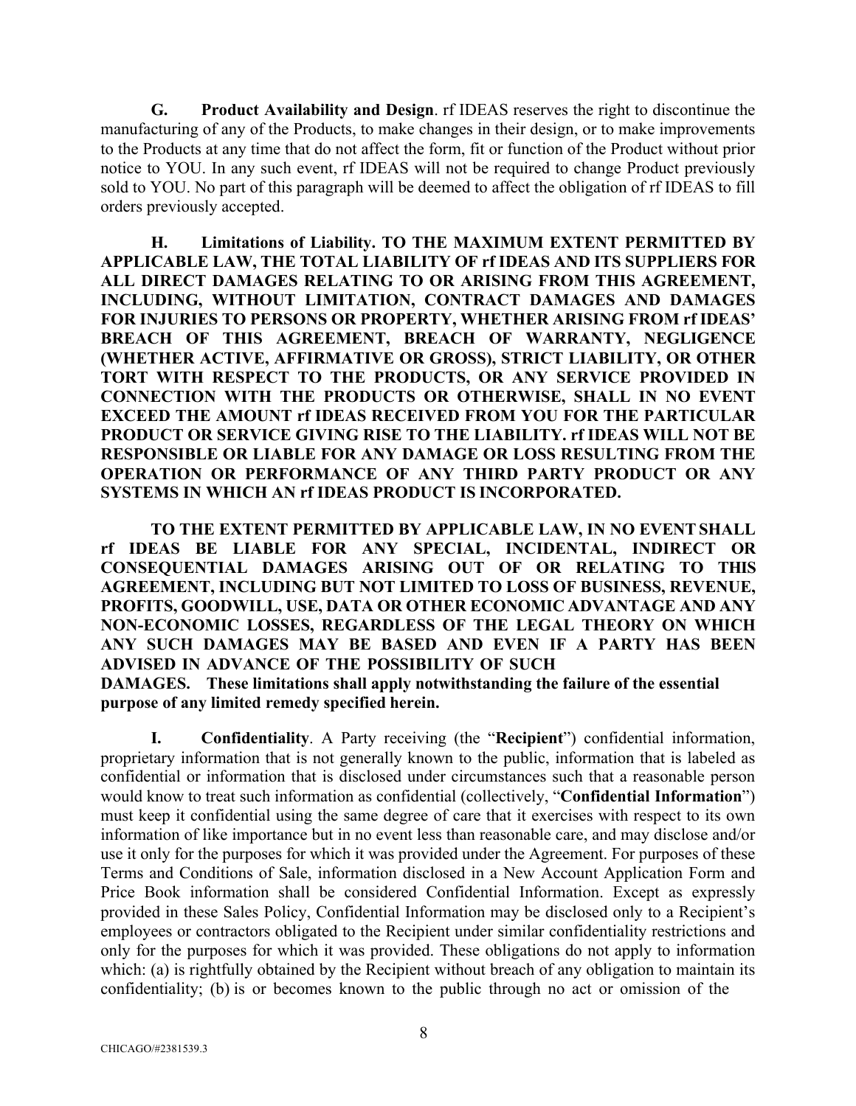**G. Product Availability and Design**. rf IDEAS reserves the right to discontinue the manufacturing of any of the Products, to make changes in their design, or to make improvements to the Products at any time that do not affect the form, fit or function of the Product without prior notice to YOU. In any such event, rf IDEAS will not be required to change Product previously sold to YOU. No part of this paragraph will be deemed to affect the obligation of rf IDEAS to fill orders previously accepted.

**H. Limitations of Liability. TO THE MAXIMUM EXTENT PERMITTED BY APPLICABLE LAW, THE TOTAL LIABILITY OF rf IDEAS AND ITS SUPPLIERS FOR ALL DIRECT DAMAGES RELATING TO OR ARISING FROM THIS AGREEMENT, INCLUDING, WITHOUT LIMITATION, CONTRACT DAMAGES AND DAMAGES FOR INJURIES TO PERSONS OR PROPERTY, WHETHER ARISING FROM rf IDEAS' BREACH OF THIS AGREEMENT, BREACH OF WARRANTY, NEGLIGENCE (WHETHER ACTIVE, AFFIRMATIVE OR GROSS), STRICT LIABILITY, OR OTHER TORT WITH RESPECT TO THE PRODUCTS, OR ANY SERVICE PROVIDED IN CONNECTION WITH THE PRODUCTS OR OTHERWISE, SHALL IN NO EVENT EXCEED THE AMOUNT rf IDEAS RECEIVED FROM YOU FOR THE PARTICULAR PRODUCT OR SERVICE GIVING RISE TO THE LIABILITY. rf IDEAS WILL NOT BE RESPONSIBLE OR LIABLE FOR ANY DAMAGE OR LOSS RESULTING FROM THE OPERATION OR PERFORMANCE OF ANY THIRD PARTY PRODUCT OR ANY SYSTEMS IN WHICH AN rf IDEAS PRODUCT IS INCORPORATED.**

**TO THE EXTENT PERMITTED BY APPLICABLE LAW, IN NO EVENTSHALL rf IDEAS BE LIABLE FOR ANY SPECIAL, INCIDENTAL, INDIRECT OR CONSEQUENTIAL DAMAGES ARISING OUT OF OR RELATING TO THIS AGREEMENT, INCLUDING BUT NOT LIMITED TO LOSS OF BUSINESS, REVENUE, PROFITS, GOODWILL, USE, DATA OR OTHER ECONOMIC ADVANTAGE AND ANY NON-ECONOMIC LOSSES, REGARDLESS OF THE LEGAL THEORY ON WHICH ANY SUCH DAMAGES MAY BE BASED AND EVEN IF A PARTY HAS BEEN ADVISED IN ADVANCE OF THE POSSIBILITY OF SUCH**

**DAMAGES. These limitations shall apply notwithstanding the failure of the essential purpose of any limited remedy specified herein.**

**I. Confidentiality**. A Party receiving (the "**Recipient**") confidential information, proprietary information that is not generally known to the public, information that is labeled as confidential or information that is disclosed under circumstances such that a reasonable person would know to treat such information as confidential (collectively, "**Confidential Information**") must keep it confidential using the same degree of care that it exercises with respect to its own information of like importance but in no event less than reasonable care, and may disclose and/or use it only for the purposes for which it was provided under the Agreement. For purposes of these Terms and Conditions of Sale, information disclosed in a New Account Application Form and Price Book information shall be considered Confidential Information. Except as expressly provided in these Sales Policy, Confidential Information may be disclosed only to a Recipient's employees or contractors obligated to the Recipient under similar confidentiality restrictions and only for the purposes for which it was provided. These obligations do not apply to information which: (a) is rightfully obtained by the Recipient without breach of any obligation to maintain its confidentiality; (b) is or becomes known to the public through no act or omission of the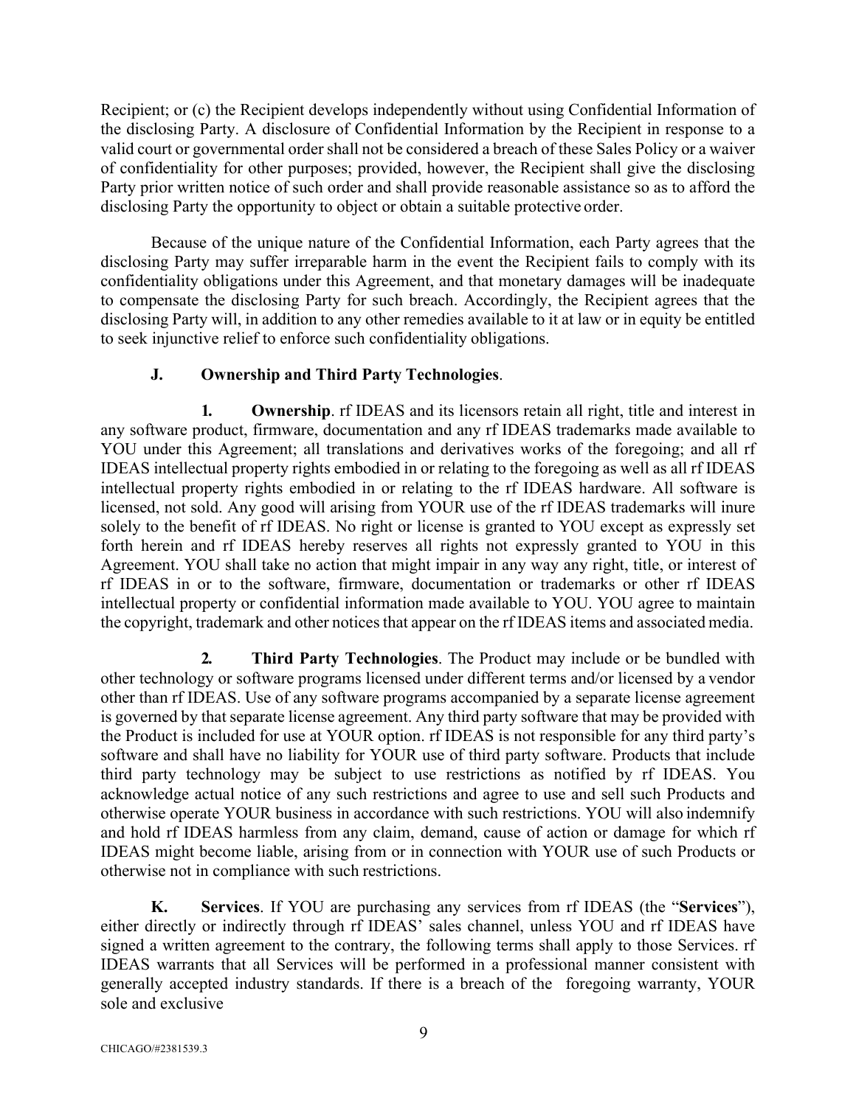Recipient; or (c) the Recipient develops independently without using Confidential Information of the disclosing Party. A disclosure of Confidential Information by the Recipient in response to a valid court or governmental order shall not be considered a breach of these Sales Policy or a waiver of confidentiality for other purposes; provided, however, the Recipient shall give the disclosing Party prior written notice of such order and shall provide reasonable assistance so as to afford the disclosing Party the opportunity to object or obtain a suitable protective order.

Because of the unique nature of the Confidential Information, each Party agrees that the disclosing Party may suffer irreparable harm in the event the Recipient fails to comply with its confidentiality obligations under this Agreement, and that monetary damages will be inadequate to compensate the disclosing Party for such breach. Accordingly, the Recipient agrees that the disclosing Party will, in addition to any other remedies available to it at law or in equity be entitled to seek injunctive relief to enforce such confidentiality obligations.

# **J. Ownership and Third Party Technologies**.

**1. Ownership**. rf IDEAS and its licensors retain all right, title and interest in any software product, firmware, documentation and any rf IDEAS trademarks made available to YOU under this Agreement; all translations and derivatives works of the foregoing; and all rf IDEAS intellectual property rights embodied in or relating to the foregoing as well as all rf IDEAS intellectual property rights embodied in or relating to the rf IDEAS hardware. All software is licensed, not sold. Any good will arising from YOUR use of the rf IDEAS trademarks will inure solely to the benefit of rf IDEAS. No right or license is granted to YOU except as expressly set forth herein and rf IDEAS hereby reserves all rights not expressly granted to YOU in this Agreement. YOU shall take no action that might impair in any way any right, title, or interest of rf IDEAS in or to the software, firmware, documentation or trademarks or other rf IDEAS intellectual property or confidential information made available to YOU. YOU agree to maintain the copyright, trademark and other notices that appear on the rf IDEAS items and associated media.

**2. Third Party Technologies**. The Product may include or be bundled with other technology or software programs licensed under different terms and/or licensed by a vendor other than rf IDEAS. Use of any software programs accompanied by a separate license agreement is governed by that separate license agreement. Any third party software that may be provided with the Product is included for use at YOUR option. rf IDEAS is not responsible for any third party's software and shall have no liability for YOUR use of third party software. Products that include third party technology may be subject to use restrictions as notified by rf IDEAS. You acknowledge actual notice of any such restrictions and agree to use and sell such Products and otherwise operate YOUR business in accordance with such restrictions. YOU will also indemnify and hold rf IDEAS harmless from any claim, demand, cause of action or damage for which rf IDEAS might become liable, arising from or in connection with YOUR use of such Products or otherwise not in compliance with such restrictions.

**K. Services**. If YOU are purchasing any services from rf IDEAS (the "**Services**"), either directly or indirectly through rf IDEAS' sales channel, unless YOU and rf IDEAS have signed a written agreement to the contrary, the following terms shall apply to those Services. rf IDEAS warrants that all Services will be performed in a professional manner consistent with generally accepted industry standards. If there is a breach of the foregoing warranty, YOUR sole and exclusive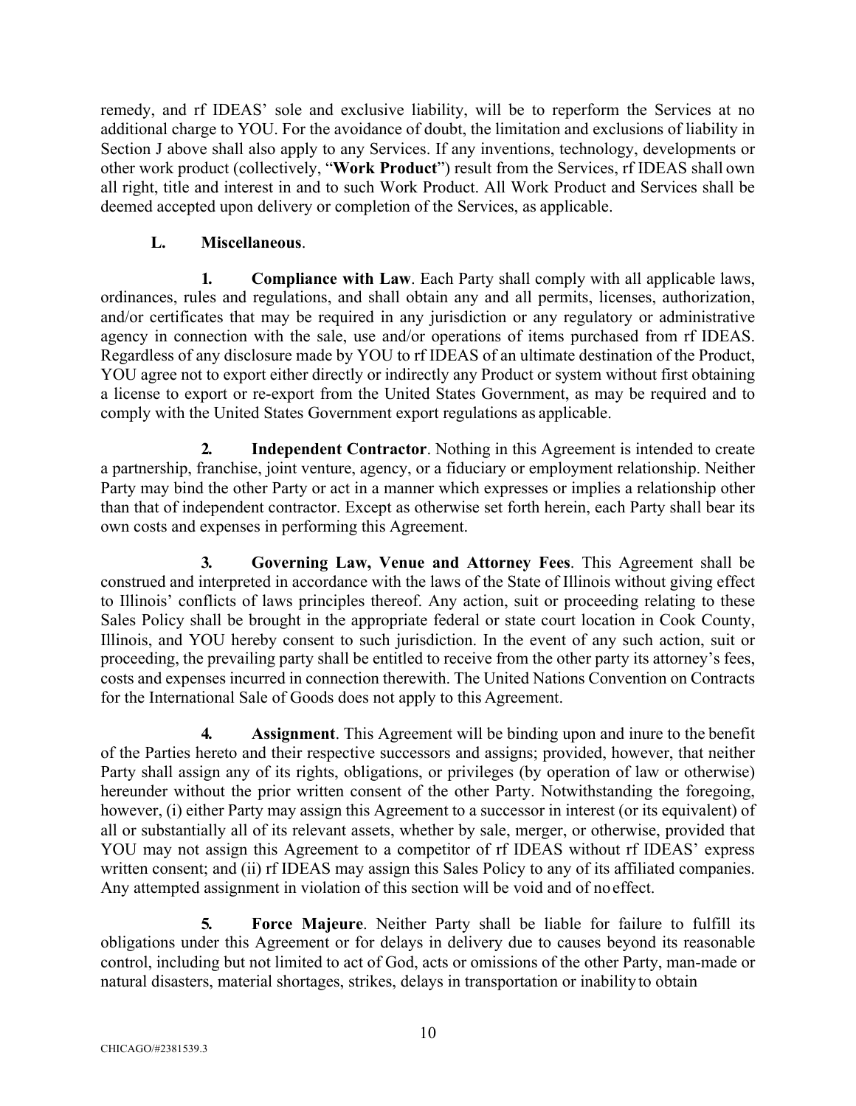remedy, and rf IDEAS' sole and exclusive liability, will be to reperform the Services at no additional charge to YOU. For the avoidance of doubt, the limitation and exclusions of liability in Section J above shall also apply to any Services. If any inventions, technology, developments or other work product (collectively, "**Work Product**") result from the Services, rf IDEAS shall own all right, title and interest in and to such Work Product. All Work Product and Services shall be deemed accepted upon delivery or completion of the Services, as applicable.

# **L. Miscellaneous**.

**1. Compliance with Law**. Each Party shall comply with all applicable laws, ordinances, rules and regulations, and shall obtain any and all permits, licenses, authorization, and/or certificates that may be required in any jurisdiction or any regulatory or administrative agency in connection with the sale, use and/or operations of items purchased from rf IDEAS. Regardless of any disclosure made by YOU to rf IDEAS of an ultimate destination of the Product, YOU agree not to export either directly or indirectly any Product or system without first obtaining a license to export or re-export from the United States Government, as may be required and to comply with the United States Government export regulations as applicable.

**2. Independent Contractor**. Nothing in this Agreement is intended to create a partnership, franchise, joint venture, agency, or a fiduciary or employment relationship. Neither Party may bind the other Party or act in a manner which expresses or implies a relationship other than that of independent contractor. Except as otherwise set forth herein, each Party shall bear its own costs and expenses in performing this Agreement.

**3. Governing Law, Venue and Attorney Fees**. This Agreement shall be construed and interpreted in accordance with the laws of the State of Illinois without giving effect to Illinois' conflicts of laws principles thereof. Any action, suit or proceeding relating to these Sales Policy shall be brought in the appropriate federal or state court location in Cook County, Illinois, and YOU hereby consent to such jurisdiction. In the event of any such action, suit or proceeding, the prevailing party shall be entitled to receive from the other party its attorney's fees, costs and expenses incurred in connection therewith. The United Nations Convention on Contracts for the International Sale of Goods does not apply to this Agreement.

**4. Assignment**. This Agreement will be binding upon and inure to the benefit of the Parties hereto and their respective successors and assigns; provided, however, that neither Party shall assign any of its rights, obligations, or privileges (by operation of law or otherwise) hereunder without the prior written consent of the other Party. Notwithstanding the foregoing, however, (i) either Party may assign this Agreement to a successor in interest (or its equivalent) of all or substantially all of its relevant assets, whether by sale, merger, or otherwise, provided that YOU may not assign this Agreement to a competitor of rf IDEAS without rf IDEAS' express written consent; and (ii) rf IDEAS may assign this Sales Policy to any of its affiliated companies. Any attempted assignment in violation of this section will be void and of noeffect.

**5. Force Majeure**. Neither Party shall be liable for failure to fulfill its obligations under this Agreement or for delays in delivery due to causes beyond its reasonable control, including but not limited to act of God, acts or omissions of the other Party, man-made or natural disasters, material shortages, strikes, delays in transportation or inability to obtain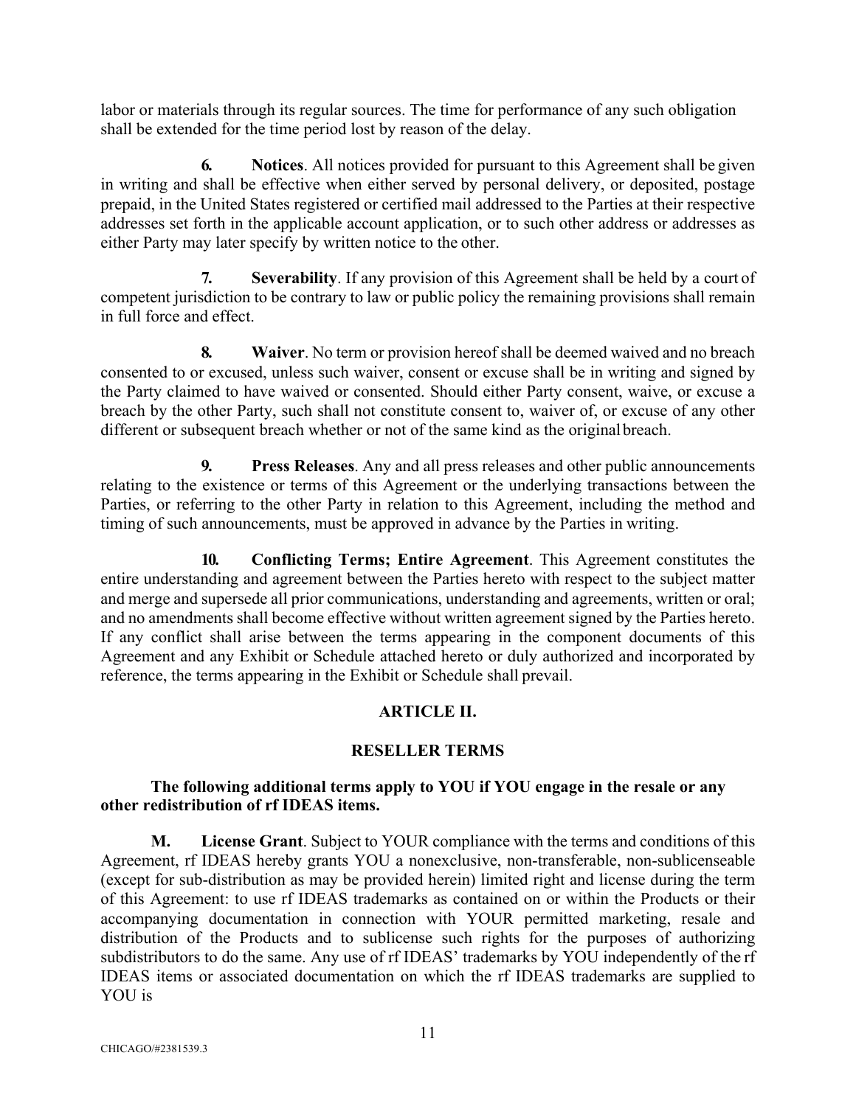labor or materials through its regular sources. The time for performance of any such obligation shall be extended for the time period lost by reason of the delay.

**6. Notices**. All notices provided for pursuant to this Agreement shall be given in writing and shall be effective when either served by personal delivery, or deposited, postage prepaid, in the United States registered or certified mail addressed to the Parties at their respective addresses set forth in the applicable account application, or to such other address or addresses as either Party may later specify by written notice to the other.

**7. Severability**. If any provision of this Agreement shall be held by a court of competent jurisdiction to be contrary to law or public policy the remaining provisions shall remain in full force and effect.

**8. Waiver**. No term or provision hereof shall be deemed waived and no breach consented to or excused, unless such waiver, consent or excuse shall be in writing and signed by the Party claimed to have waived or consented. Should either Party consent, waive, or excuse a breach by the other Party, such shall not constitute consent to, waiver of, or excuse of any other different or subsequent breach whether or not of the same kind as the originalbreach.

**9. Press Releases**. Any and all press releases and other public announcements relating to the existence or terms of this Agreement or the underlying transactions between the Parties, or referring to the other Party in relation to this Agreement, including the method and timing of such announcements, must be approved in advance by the Parties in writing.

**10. Conflicting Terms; Entire Agreement**. This Agreement constitutes the entire understanding and agreement between the Parties hereto with respect to the subject matter and merge and supersede all prior communications, understanding and agreements, written or oral; and no amendments shall become effective without written agreement signed by the Parties hereto. If any conflict shall arise between the terms appearing in the component documents of this Agreement and any Exhibit or Schedule attached hereto or duly authorized and incorporated by reference, the terms appearing in the Exhibit or Schedule shall prevail.

# **ARTICLE II.**

## **RESELLER TERMS**

## **The following additional terms apply to YOU if YOU engage in the resale or any other redistribution of rf IDEAS items.**

**M. License Grant**. Subject to YOUR compliance with the terms and conditions of this Agreement, rf IDEAS hereby grants YOU a nonexclusive, non-transferable, non-sublicenseable (except for sub-distribution as may be provided herein) limited right and license during the term of this Agreement: to use rf IDEAS trademarks as contained on or within the Products or their accompanying documentation in connection with YOUR permitted marketing, resale and distribution of the Products and to sublicense such rights for the purposes of authorizing subdistributors to do the same. Any use of rf IDEAS' trademarks by YOU independently of the rf IDEAS items or associated documentation on which the rf IDEAS trademarks are supplied to YOU is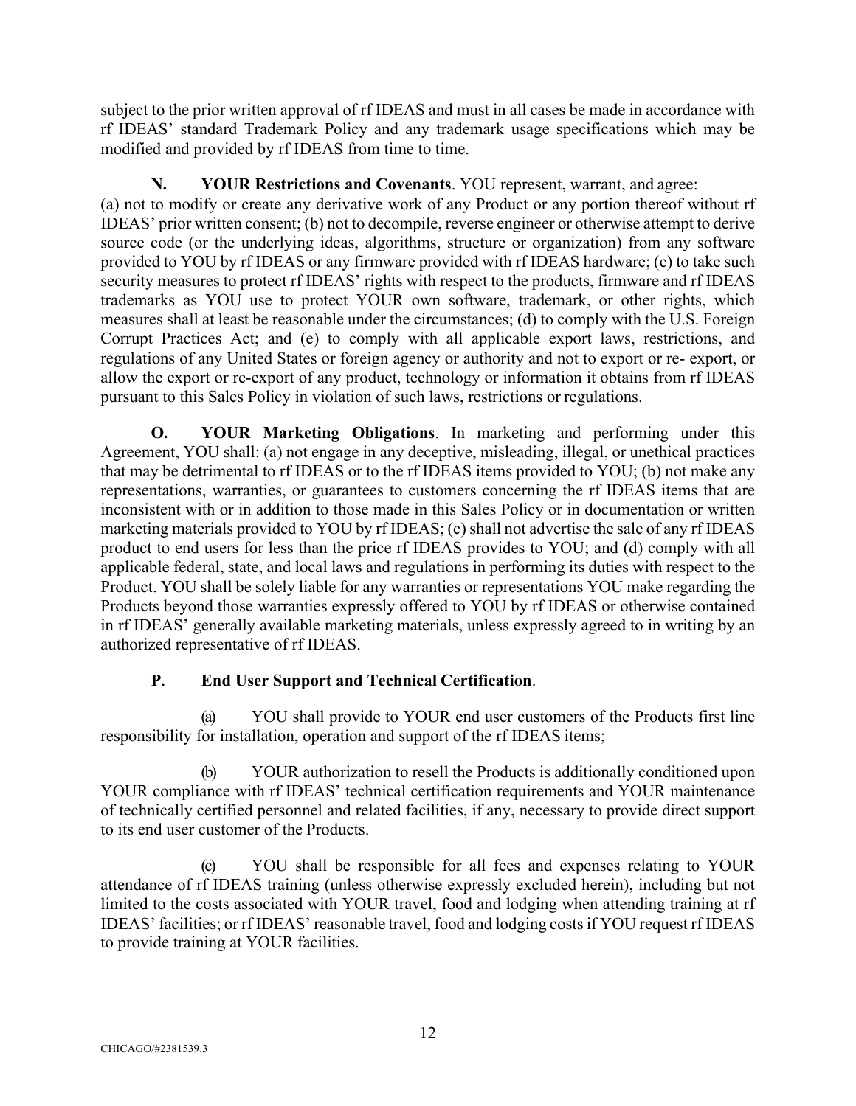subject to the prior written approval of rf IDEAS and must in all cases be made in accordance with rf IDEAS' standard Trademark Policy and any trademark usage specifications which may be modified and provided by rf IDEAS from time to time.

# **N. YOUR Restrictions and Covenants**. YOU represent, warrant, and agree:

(a) not to modify or create any derivative work of any Product or any portion thereof without rf IDEAS' prior written consent; (b) not to decompile, reverse engineer or otherwise attempt to derive source code (or the underlying ideas, algorithms, structure or organization) from any software provided to YOU by rf IDEAS or any firmware provided with rf IDEAS hardware; (c) to take such security measures to protect rf IDEAS' rights with respect to the products, firmware and rf IDEAS trademarks as YOU use to protect YOUR own software, trademark, or other rights, which measures shall at least be reasonable under the circumstances; (d) to comply with the U.S. Foreign Corrupt Practices Act; and (e) to comply with all applicable export laws, restrictions, and regulations of any United States or foreign agency or authority and not to export or re- export, or allow the export or re-export of any product, technology or information it obtains from rf IDEAS pursuant to this Sales Policy in violation of such laws, restrictions or regulations.

**O. YOUR Marketing Obligations**. In marketing and performing under this Agreement, YOU shall: (a) not engage in any deceptive, misleading, illegal, or unethical practices that may be detrimental to rf IDEAS or to the rf IDEAS items provided to YOU; (b) not make any representations, warranties, or guarantees to customers concerning the rf IDEAS items that are inconsistent with or in addition to those made in this Sales Policy or in documentation or written marketing materials provided to YOU by rf IDEAS; (c) shall not advertise the sale of any rf IDEAS product to end users for less than the price rf IDEAS provides to YOU; and (d) comply with all applicable federal, state, and local laws and regulations in performing its duties with respect to the Product. YOU shall be solely liable for any warranties or representations YOU make regarding the Products beyond those warranties expressly offered to YOU by rf IDEAS or otherwise contained in rf IDEAS' generally available marketing materials, unless expressly agreed to in writing by an authorized representative of rf IDEAS.

# **P. End User Support and Technical Certification**.

(a) YOU shall provide to YOUR end user customers of the Products first line responsibility for installation, operation and support of the rf IDEAS items;

(b) YOUR authorization to resell the Products is additionally conditioned upon YOUR compliance with rf IDEAS' technical certification requirements and YOUR maintenance of technically certified personnel and related facilities, if any, necessary to provide direct support to its end user customer of the Products.

(c) YOU shall be responsible for all fees and expenses relating to YOUR attendance of rf IDEAS training (unless otherwise expressly excluded herein), including but not limited to the costs associated with YOUR travel, food and lodging when attending training at rf IDEAS' facilities; or rf IDEAS' reasonable travel, food and lodging costsif YOU request rf IDEAS to provide training at YOUR facilities.